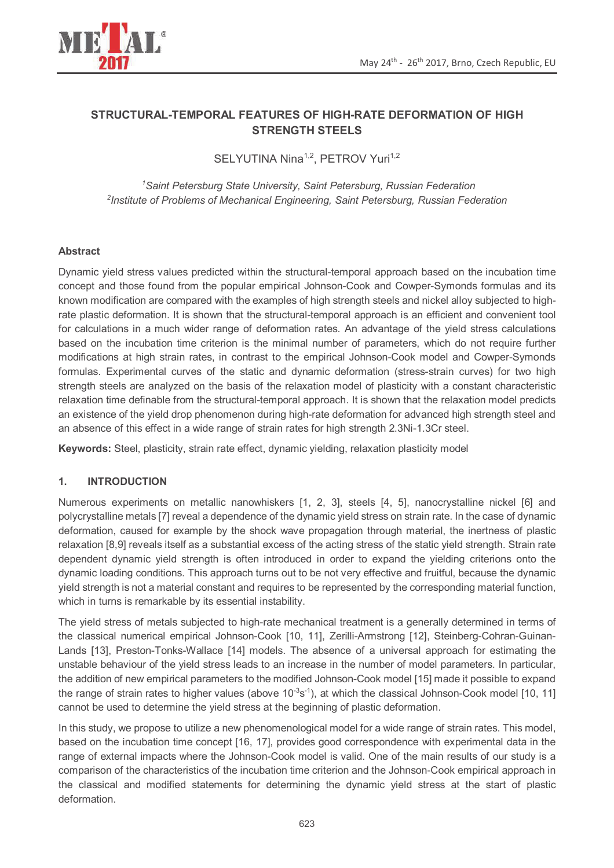

# **STRUCTURAL-TEMPORAL FEATURES OF HIGH-RATE DEFORMATION OF HIGH STRENGTH STEELS**

SELYUTINA Nina<sup>1,2</sup>, PETROV Yuri<sup>1,2</sup>

*<sup>1</sup>Saint Petersburg State University, Saint Petersburg, Russian Federation 2 Institute of Problems of Mechanical Engineering, Saint Petersburg, Russian Federation* 

### **Abstract**

Dynamic yield stress values predicted within the structural-temporal approach based on the incubation time concept and those found from the popular empirical Johnson-Cook and Cowper-Symonds formulas and its known modification are compared with the examples of high strength steels and nickel alloy subjected to highrate plastic deformation. It is shown that the structural-temporal approach is an efficient and convenient tool for calculations in a much wider range of deformation rates. An advantage of the yield stress calculations based on the incubation time criterion is the minimal number of parameters, which do not require further modifications at high strain rates, in contrast to the empirical Johnson-Cook model and Cowper-Symonds formulas. Experimental curves of the static and dynamic deformation (stress-strain curves) for two high strength steels are analyzed on the basis of the relaxation model of plasticity with a constant characteristic relaxation time definable from the structural-temporal approach. It is shown that the relaxation model predicts an existence of the yield drop phenomenon during high-rate deformation for advanced high strength steel and an absence of this effect in a wide range of strain rates for high strength 2.3Ni-1.3Cr steel.

**Keywords:** Steel, plasticity, strain rate effect, dynamic yielding, relaxation plasticity model

# **1. INTRODUCTION**

Numerous experiments on metallic nanowhiskers [1, 2, 3], steels [4, 5], nanocrystalline nickel [6] and polycrystalline metals [7] reveal a dependence of the dynamic yield stress on strain rate. In the case of dynamic deformation, caused for example by the shock wave propagation through material, the inertness of plastic relaxation [8,9] reveals itself as a substantial excess of the acting stress of the static yield strength. Strain rate dependent dynamic yield strength is often introduced in order to expand the yielding criterions onto the dynamic loading conditions. This approach turns out to be not very effective and fruitful, because the dynamic yield strength is not a material constant and requires to be represented by the corresponding material function, which in turns is remarkable by its essential instability.

The yield stress of metals subjected to high-rate mechanical treatment is a generally determined in terms of the classical numerical empirical Johnson-Cook [10, 11], Zerilli-Armstrong [12], Steinberg-Cohran-Guinan-Lands [13], Preston-Tonks-Wallace [14] models. The absence of a universal approach for estimating the unstable behaviour of the yield stress leads to an increase in the number of model parameters. In particular, the addition of new empirical parameters to the modified Johnson-Cook model [15] made it possible to expand the range of strain rates to higher values (above  $10^{-3}$ s<sup>-1</sup>), at which the classical Johnson-Cook model [10, 11] cannot be used to determine the yield stress at the beginning of plastic deformation.

In this study, we propose to utilize a new phenomenological model for a wide range of strain rates. This model, based on the incubation time concept [16, 17], provides good correspondence with experimental data in the range of external impacts where the Johnson-Cook model is valid. One of the main results of our study is a comparison of the characteristics of the incubation time criterion and the Johnson-Cook empirical approach in the classical and modified statements for determining the dynamic yield stress at the start of plastic deformation.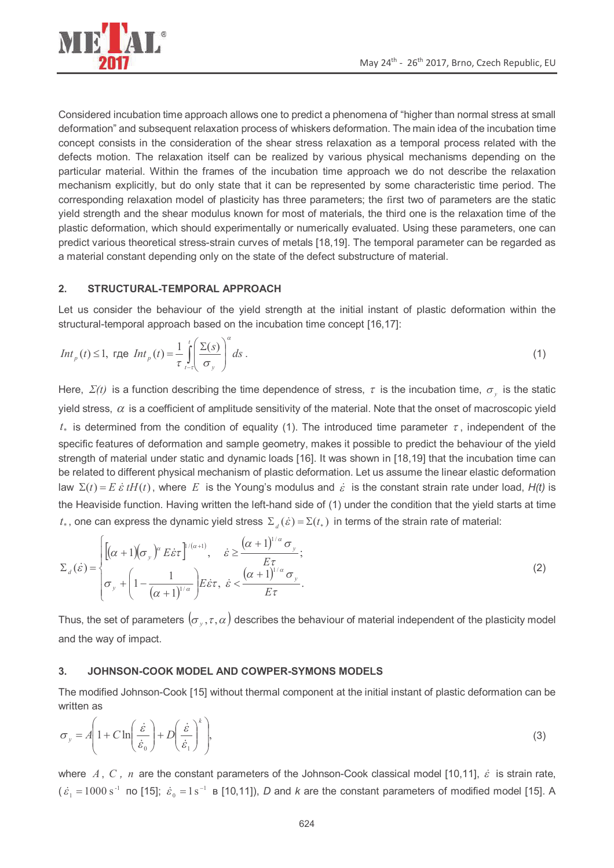

Considered incubation time approach allows one to predict a phenomena of "higher than normal stress at small deformation" and subsequent relaxation process of whiskers deformation. The main idea of the incubation time concept consists in the consideration of the shear stress relaxation as a temporal process related with the defects motion. The relaxation itself can be realized by various physical mechanisms depending on the particular material. Within the frames of the incubation time approach we do not describe the relaxation mechanism explicitly, but do only state that it can be represented by some characteristic time period. The corresponding relaxation model of plasticity has three parameters; the first two of parameters are the static yield strength and the shear modulus known for most of materials, the third one is the relaxation time of the plastic deformation, which should experimentally or numerically evaluated. Using these parameters, one can predict various theoretical stress-strain curves of metals [18,19]. The temporal parameter can be regarded as a material constant depending only on the state of the defect substructure of material.

### **2. STRUCTURAL-TEMPORAL APPROACH**

Let us consider the behaviour of the yield strength at the initial instant of plastic deformation within the structural-temporal approach based on the incubation time concept [16,17]:

$$
Int_p(t) \le 1, \text{ r, } Int_p(t) = \frac{1}{\tau} \int_{t-\tau}^{t} \left( \frac{\Sigma(s)}{\sigma_y} \right)^{\alpha} ds \tag{1}
$$

Here,  $\Sigma(t)$  is a function describing the time dependence of stress,  $\tau$  is the incubation time,  $\sigma_y$  is the static yield stress,  $\alpha$  is a coefficient of amplitude sensitivity of the material. Note that the onset of macroscopic yield  $t_*$  is determined from the condition of equality (1). The introduced time parameter  $\tau$ , independent of the specific features of deformation and sample geometry, makes it possible to predict the behaviour of the yield strength of material under static and dynamic loads [16]. It was shown in [18,19] that the incubation time can be related to different physical mechanism of plastic deformation. Let us assume the linear elastic deformation law  $\Sigma(t) = E \dot{\varepsilon} t H(t)$ , where E is the Young's modulus and  $\dot{\varepsilon}$  is the constant strain rate under load,  $H(t)$  is the Heaviside function. Having written the left-hand side of (1) under the condition that the yield starts at time *t*., one can express the dynamic yield stress  $\Sigma_d(\hat{\varepsilon}) = \Sigma(t_*)$  in terms of the strain rate of material:

$$
\Sigma_{d}(\dot{\varepsilon}) = \begin{cases}\n\left[ (\alpha + 1)(\sigma_{y})^{\alpha} E \dot{\varepsilon} \tau \right]^{1/(\alpha+1)}, & \dot{\varepsilon} \geq \frac{(\alpha + 1)^{1/\alpha} \sigma_{y}}{E \tau}; \\
\sigma_{y} + \left( 1 - \frac{1}{(\alpha + 1)^{1/\alpha}} \right) E \dot{\varepsilon} \tau, & \dot{\varepsilon} < \frac{(\alpha + 1)^{1/\alpha} \sigma_{y}}{E \tau}.\n\end{cases}
$$
\n(2)

Thus, the set of parameters  $(\sigma_{_y},\tau,\alpha)$  describes the behaviour of material independent of the plasticity model and the way of impact.

#### **3. JOHNSON-COOK MODEL AND COWPER-SYMONS MODELS**

The modified Johnson-Cook [15] without thermal component at the initial instant of plastic deformation can be written as

$$
\sigma_y = A \left( 1 + C \ln \left( \frac{\dot{\varepsilon}}{\dot{\varepsilon}_0} \right) + D \left( \frac{\dot{\varepsilon}}{\dot{\varepsilon}_1} \right)^k \right),\tag{3}
$$

where  $A, C, n$  are the constant parameters of the Johnson-Cook classical model [10,11],  $\dot{\varepsilon}$  is strain rate,  $(\dot{\varepsilon}_1 = 1000 \text{ s}^{-1}$  no [15];  $\dot{\varepsilon}_0 = 1 \text{ s}^{-1}$  B [10,11]), *D* and *k* are the constant parameters of modified model [15]. A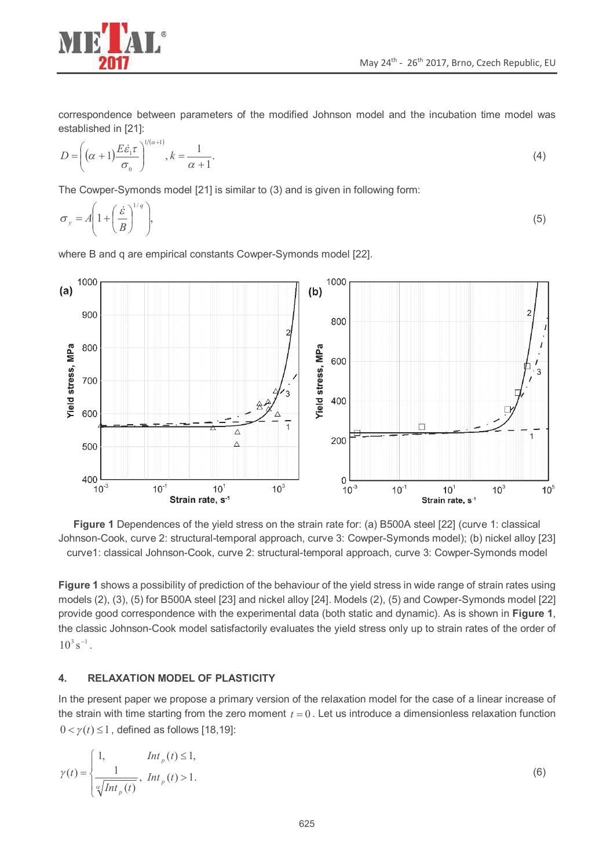

correspondence between parameters of the modified Johnson model and the incubation time model was established in [21]:

$$
D = \left( (\alpha + 1) \frac{E \dot{\varepsilon}_1 \tau}{\sigma_0} \right)^{1/(\alpha+1)}, k = \frac{1}{\alpha+1}.
$$
 (4)

The Cowper-Symonds model [21] is similar to (3) and is given in following form:

$$
\sigma_y = A \left( 1 + \left( \frac{\dot{\varepsilon}}{B} \right)^{1/q} \right),\tag{5}
$$

where B and q are empirical constants Cowper-Symonds model [22].



**Figure 1** Dependences of the yield stress on the strain rate for: (a) B500A steel [22] (curve 1: classical Johnson-Cook, curve 2: structural-temporal approach, curve 3: Cowper-Symonds model); (b) nickel alloy [23] curve1: classical Johnson-Cook, curve 2: structural-temporal approach, curve 3: Cowper-Symonds model

**Figure 1** shows a possibility of prediction of the behaviour of the yield stress in wide range of strain rates using models (2), (3), (5) for B500A steel [23] and nickel alloy [24]. Models (2), (5) and Cowper-Symonds model [22] provide good correspondence with the experimental data (both static and dynamic). As is shown in **Figure 1**, the classic Johnson-Cook model satisfactorily evaluates the yield stress only up to strain rates of the order of  $10^3 s^{-1}$ .

#### **4. RELAXATION MODEL OF PLASTICITY**

In the present paper we propose a primary version of the relaxation model for the case of a linear increase of the strain with time starting from the zero moment  $t = 0$ . Let us introduce a dimensionless relaxation function  $0 < \gamma(t) \leq 1$ , defined as follows [18,19]:

$$
\gamma(t) = \begin{cases} 1, & Int_p(t) \le 1, \\ \frac{1}{\sqrt[n]{\ln t_p(t)}}, & Int_p(t) > 1. \end{cases}
$$
 (6)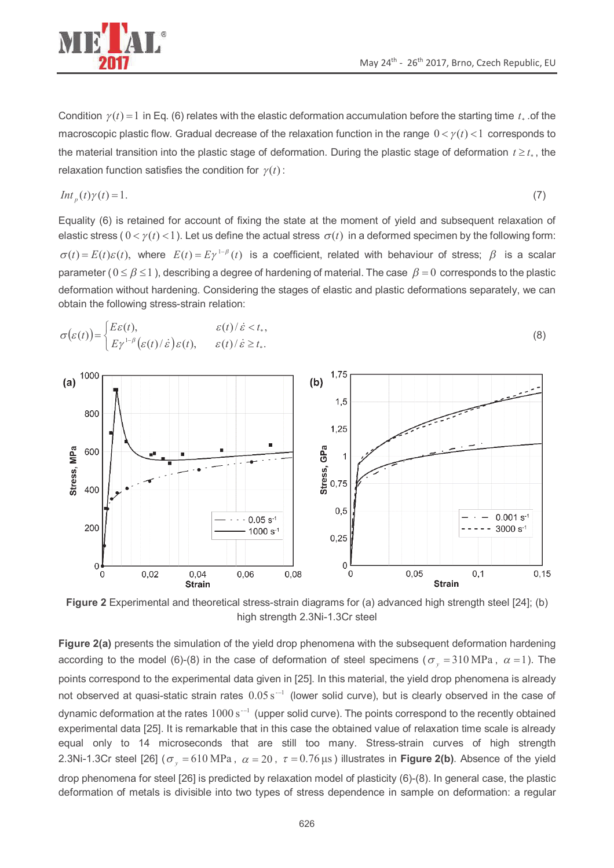

Condition  $\gamma(t) = 1$  in Eq. (6) relates with the elastic deformation accumulation before the starting time  $t_*$  of the macroscopic plastic flow. Gradual decrease of the relaxation function in the range  $0 < γ(t) < 1$  corresponds to the material transition into the plastic stage of deformation. During the plastic stage of deformation  $t \geq t_*$ , the relaxation function satisfies the condition for  $\gamma(t)$ :

$$
Int_p(t)\gamma(t) = 1.
$$
 (7)

Equality (6) is retained for account of fixing the state at the moment of yield and subsequent relaxation of elastic stress ( $0 < \gamma(t) < 1$ ). Let us define the actual stress  $\sigma(t)$  in a deformed specimen by the following form:  $\sigma(t) = E(t)\varepsilon(t)$ , where  $E(t) = E\gamma^{1-\beta}(t)$  is a coefficient, related with behaviour of stress;  $\beta$  is a scalar parameter ( 0 ≤ *β* ≤1 ), describing a degree of hardening of material. The case *β* = 0 corresponds to the plastic deformation without hardening. Considering the stages of elastic and plastic deformations separately, we can obtain the following stress-strain relation:





**Figure 2** Experimental and theoretical stress-strain diagrams for (a) advanced high strength steel [24]; (b) high strength 2.3Ni-1.3Cr steel

**Figure 2(a)** presents the simulation of the yield drop phenomena with the subsequent deformation hardening according to the model (6)-(8) in the case of deformation of steel specimens ( $\sigma_y = 310 \text{ MPa}$ ,  $\alpha = 1$ ). The points correspond to the experimental data given in [25]. In this material, the yield drop phenomena is already not observed at quasi-static strain rates  $0.05 s^{-1}$  (lower solid curve), but is clearly observed in the case of dynamic deformation at the rates  $1000$  s<sup>--1</sup> (upper solid curve). The points correspond to the recently obtained experimental data [25]. It is remarkable that in this case the obtained value of relaxation time scale is already equal only to 14 microseconds that are still too many. Stress-strain curves of high strength 2.3Ni-1.3Cr steel [26] ( $\sigma_y$  = 610 MPa,  $\alpha$  = 20,  $\tau$  = 0.76 μs) illustrates in Figure 2(b). Absence of the yield drop phenomena for steel [26] is predicted by relaxation model of plasticity (6)-(8). In general case, the plastic deformation of metals is divisible into two types of stress dependence in sample on deformation: a regular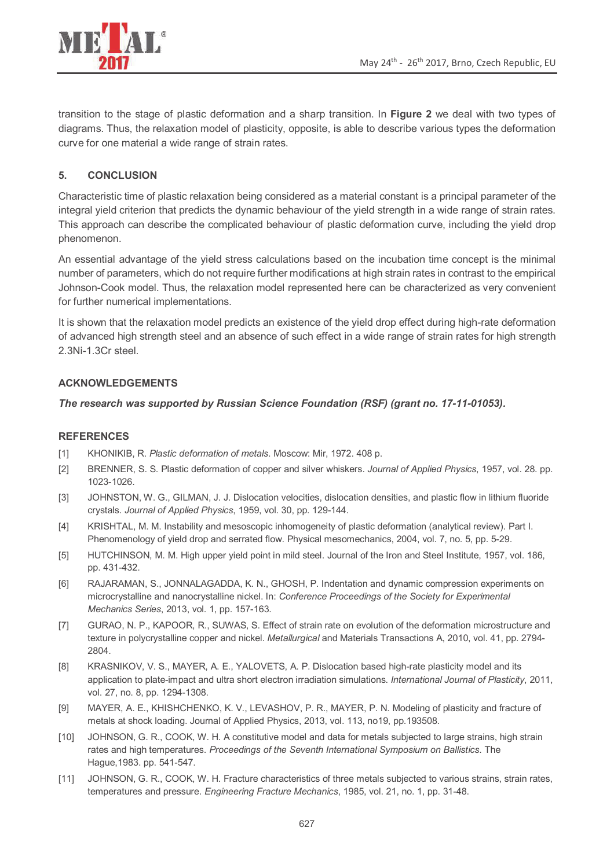

transition to the stage of plastic deformation and a sharp transition. In **Figure 2** we deal with two types of diagrams. Thus, the relaxation model of plasticity, opposite, is able to describe various types the deformation curve for one material a wide range of strain rates.

# **5. CONCLUSION**

Characteristic time of plastic relaxation being considered as a material constant is a principal parameter of the integral yield criterion that predicts the dynamic behaviour of the yield strength in a wide range of strain rates. This approach can describe the complicated behaviour of plastic deformation curve, including the yield drop phenomenon.

An essential advantage of the yield stress calculations based on the incubation time concept is the minimal number of parameters, which do not require further modifications at high strain rates in contrast to the empirical Johnson-Cook model. Thus, the relaxation model represented here can be characterized as very convenient for further numerical implementations.

It is shown that the relaxation model predicts an existence of the yield drop effect during high-rate deformation of advanced high strength steel and an absence of such effect in a wide range of strain rates for high strength 2.3Ni-1.3Cr steel.

# **ACKNOWLEDGEMENTS**

#### *The research was supported by Russian Science Foundation (RSF) (grant no. 17-11-01053).*

#### **REFERENCES**

- [1] KHONIKIB, R. *Plastic deformation of metals*. Moscow: Mir, 1972. 408 p.
- [2] BRENNER, S. S. Plastic deformation of copper and silver whiskers. *Journal of Applied Physics*, 1957, vol. 28. pp. 1023-1026.
- [3] JOHNSTON, W. G., GILMAN, J. J. Dislocation velocities, dislocation densities, and plastic flow in lithium fluoride crystals. *Journal of Applied Physics*, 1959, vol. 30, pp. 129-144.
- [4] KRISHTAL, M. M. Instability and mesoscopic inhomogeneity of plastic deformation (analytical review). Part I. Phenomenology of yield drop and serrated flow. Physical mesomechanics, 2004, vol. 7, no. 5, pp. 5-29.
- [5] HUTCHINSON, M. M. High upper yield point in mild steel. Journal of the Iron and Steel Institute, 1957, vol. 186, pp. 431-432.
- [6] RAJARAMAN, S., JONNALAGADDA, K. N., GHOSH, P. Indentation and dynamic compression experiments on microcrystalline and nanocrystalline nickel. In: *Conference Proceedings of the Society for Experimental Mechanics Series*, 2013, vol. 1, pp. 157-163.
- [7] GURAO, N. P., KAPOOR, R., SUWAS, S. Effect of strain rate on evolution of the deformation microstructure and texture in polycrystalline copper and nickel. *Metallurgical* and Materials Transactions A, 2010, vol. 41, pp. 2794- 2804.
- [8] KRASNIKOV, V. S., MAYER, A. E., YALOVETS, A. P. Dislocation based high-rate plasticity model and its application to plate-impact and ultra short electron irradiation simulations. *International Journal of Plasticity*, 2011, vol. 27, no. 8, pp. 1294-1308.
- [9] MAYER, A. E., KHISHCHENKO, K. V., LEVASHOV, P. R., MAYER, P. N. Modeling of plasticity and fracture of metals at shock loading. Journal of Applied Physics, 2013, vol. 113, no19, pp.193508.
- [10] JOHNSON, G. R., COOK, W. H. A constitutive model and data for metals subjected to large strains, high strain rates and high temperatures. *Proceedings of the Seventh International Symposium on Ballistics*. The Hague,1983. pp. 541-547.
- [11] JOHNSON, G. R., COOK, W. H. Fracture characteristics of three metals subjected to various strains, strain rates, temperatures and pressure. *Engineering Fracture Mechanics*, 1985, vol. 21, no. 1, pp. 31-48.